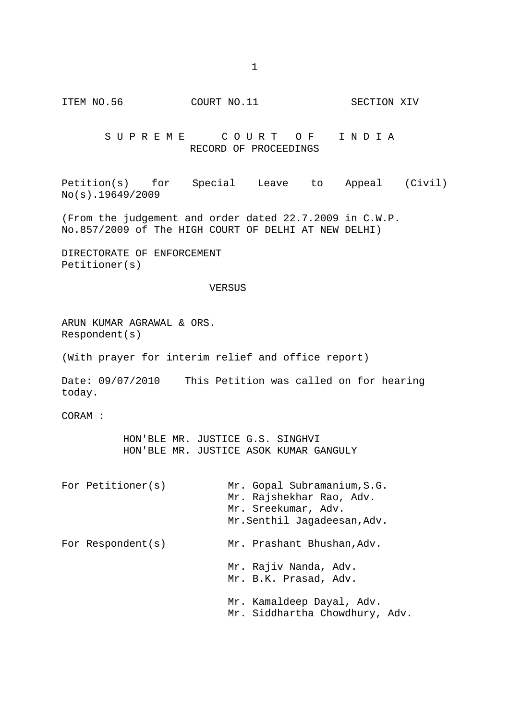ITEM NO.56 COURT NO.11 SECTION XIV

SUPREME COURT OF INDIA RECORD OF PROCEEDINGS

Petition(s) for Special Leave to Appeal (Civil) No(s).19649/2009

(From the judgement and order dated 22.7.2009 in C.W.P. No.857/2009 of The HIGH COURT OF DELHI AT NEW DELHI)

DIRECTORATE OF ENFORCEMENT Petitioner(s)

## VERSUS

ARUN KUMAR AGRAWAL & ORS. Respondent(s)

(With prayer for interim relief and office report)

Date: 09/07/2010 This Petition was called on for hearing today.

CORAM :

 HON'BLE MR. JUSTICE G.S. SINGHVI HON'BLE MR. JUSTICE ASOK KUMAR GANGULY

For Petitioner(s) Mr. Gopal Subramanium, S.G. Mr. Rajshekhar Rao, Adv. Mr. Sreekumar, Adv. Mr.Senthil Jagadeesan,Adv. For Respondent(s) Mr. Prashant Bhushan, Adv. Mr. Rajiv Nanda, Adv. Mr. B.K. Prasad, Adv. Mr. Kamaldeep Dayal, Adv. Mr. Siddhartha Chowdhury, Adv.